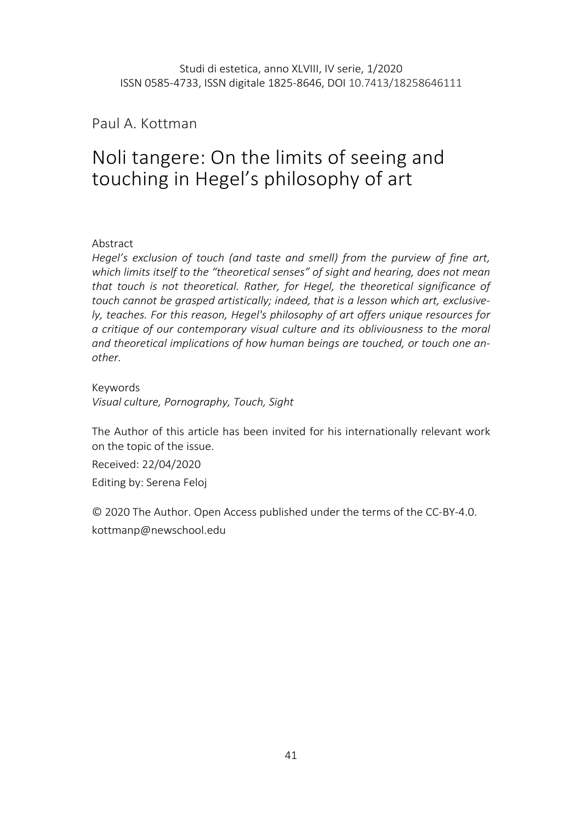Paul A. Kottman

# Noli tangere: On the limits of seeing and touching in Hegel's philosophy of art

Abstract

Hegel's exclusion of touch (and taste and smell) from the purview of fine art, which limits itself to the "theoretical senses" of sight and hearing, does not mean that touch is not theoretical. Rather, for Hegel, the theoretical significance of touch cannot be grasped artistically; indeed, that is a lesson which art, exclusively, teaches. For this reason, Hegel's philosophy of art offers unique resources for a critique of our contemporary visual culture and its obliviousness to the moral and theoretical implications of how human beings are touched, or touch one another.

Keywords

Visual culture, Pornography, Touch, Sight

The Author of this article has been invited for his internationally relevant work on the topic of the issue.

Received: 22/04/2020 Editing by: Serena Feloj

© 2020 The Author. Open Access published under the terms of the CC-BY-4.0. kottmanp@newschool.edu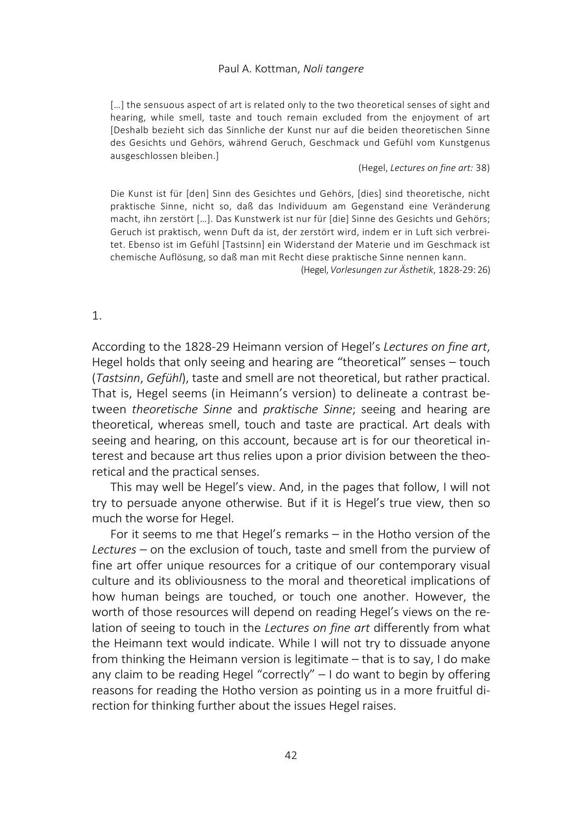[...] the sensuous aspect of art is related only to the two theoretical senses of sight and hearing, while smell, taste and touch remain excluded from the enjoyment of art [Deshalb bezieht sich das Sinnliche der Kunst nur auf die beiden theoretischen Sinne des Gesichts und Gehörs, während Geruch, Geschmack und Gefühl vom Kunstgenus ausgeschlossen bleiben.]

(Hegel, Lectures on fine art: 38)

Die Kunst ist für [den] Sinn des Gesichtes und Gehörs, [dies] sind theoretische, nicht praktische Sinne, nicht so, daß das Individuum am Gegenstand eine Veränderung macht, ihn zerstört […]. Das Kunstwerk ist nur für [die] Sinne des Gesichts und Gehörs; Geruch ist praktisch, wenn Duft da ist, der zerstört wird, indem er in Luft sich verbreitet. Ebenso ist im Gefühl [Tastsinn] ein Widerstand der Materie und im Geschmack ist chemische Auflösung, so daß man mit Recht diese praktische Sinne nennen kann.

(Hegel, Vorlesungen zur Ästhetik, 1828-29: 26)

## 1.

According to the 1828-29 Heimann version of Hegel's Lectures on fine art, Hegel holds that only seeing and hearing are "theoretical" senses – touch (Tastsinn, Gefühl), taste and smell are not theoretical, but rather practical. That is, Hegel seems (in Heimann's version) to delineate a contrast between theoretische Sinne and praktische Sinne; seeing and hearing are theoretical, whereas smell, touch and taste are practical. Art deals with seeing and hearing, on this account, because art is for our theoretical interest and because art thus relies upon a prior division between the theoretical and the practical senses.

This may well be Hegel's view. And, in the pages that follow, I will not try to persuade anyone otherwise. But if it is Hegel's true view, then so much the worse for Hegel.

For it seems to me that Hegel's remarks – in the Hotho version of the Lectures – on the exclusion of touch, taste and smell from the purview of fine art offer unique resources for a critique of our contemporary visual culture and its obliviousness to the moral and theoretical implications of how human beings are touched, or touch one another. However, the worth of those resources will depend on reading Hegel's views on the relation of seeing to touch in the Lectures on fine art differently from what the Heimann text would indicate. While I will not try to dissuade anyone from thinking the Heimann version is legitimate – that is to say, I do make any claim to be reading Hegel "correctly" – I do want to begin by offering reasons for reading the Hotho version as pointing us in a more fruitful direction for thinking further about the issues Hegel raises.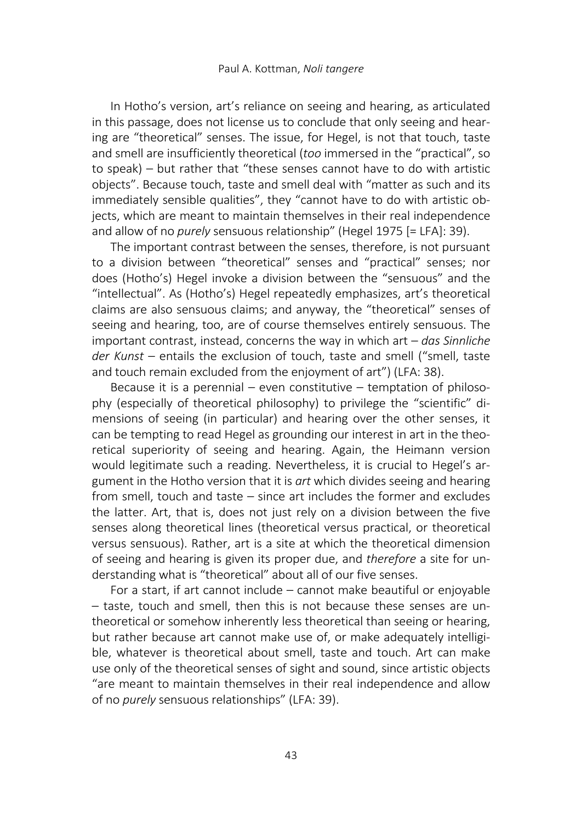In Hotho's version, art's reliance on seeing and hearing, as articulated in this passage, does not license us to conclude that only seeing and hearing are "theoretical" senses. The issue, for Hegel, is not that touch, taste and smell are insufficiently theoretical (too immersed in the "practical", so to speak) – but rather that "these senses cannot have to do with artistic objects". Because touch, taste and smell deal with "matter as such and its immediately sensible qualities", they "cannot have to do with artistic objects, which are meant to maintain themselves in their real independence and allow of no purely sensuous relationship" (Hegel 1975 [= LFA]: 39).

The important contrast between the senses, therefore, is not pursuant to a division between "theoretical" senses and "practical" senses; nor does (Hotho's) Hegel invoke a division between the "sensuous" and the "intellectual". As (Hotho's) Hegel repeatedly emphasizes, art's theoretical claims are also sensuous claims; and anyway, the "theoretical" senses of seeing and hearing, too, are of course themselves entirely sensuous. The important contrast, instead, concerns the way in which art  $-$  das Sinnliche der Kunst – entails the exclusion of touch, taste and smell ("smell, taste and touch remain excluded from the enjoyment of art") (LFA: 38).

Because it is a perennial  $-$  even constitutive  $-$  temptation of philosophy (especially of theoretical philosophy) to privilege the "scientific" dimensions of seeing (in particular) and hearing over the other senses, it can be tempting to read Hegel as grounding our interest in art in the theoretical superiority of seeing and hearing. Again, the Heimann version would legitimate such a reading. Nevertheless, it is crucial to Hegel's argument in the Hotho version that it is art which divides seeing and hearing from smell, touch and taste – since art includes the former and excludes the latter. Art, that is, does not just rely on a division between the five senses along theoretical lines (theoretical versus practical, or theoretical versus sensuous). Rather, art is a site at which the theoretical dimension of seeing and hearing is given its proper due, and therefore a site for understanding what is "theoretical" about all of our five senses.

For a start, if art cannot include – cannot make beautiful or enjoyable – taste, touch and smell, then this is not because these senses are untheoretical or somehow inherently less theoretical than seeing or hearing, but rather because art cannot make use of, or make adequately intelligible, whatever is theoretical about smell, taste and touch. Art can make use only of the theoretical senses of sight and sound, since artistic objects "are meant to maintain themselves in their real independence and allow of no purely sensuous relationships" (LFA: 39).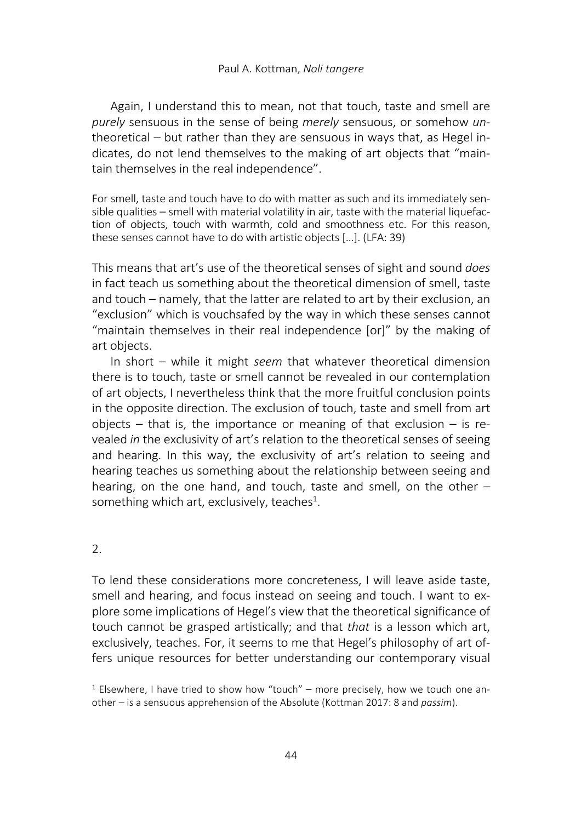Again, I understand this to mean, not that touch, taste and smell are purely sensuous in the sense of being merely sensuous, or somehow untheoretical – but rather than they are sensuous in ways that, as Hegel indicates, do not lend themselves to the making of art objects that "maintain themselves in the real independence".

For smell, taste and touch have to do with matter as such and its immediately sensible qualities – smell with material volatility in air, taste with the material liquefaction of objects, touch with warmth, cold and smoothness etc. For this reason, these senses cannot have to do with artistic objects […]. (LFA: 39)

This means that art's use of the theoretical senses of sight and sound *does* in fact teach us something about the theoretical dimension of smell, taste and touch – namely, that the latter are related to art by their exclusion, an "exclusion" which is vouchsafed by the way in which these senses cannot "maintain themselves in their real independence [or]" by the making of art objects.

In short – while it might seem that whatever theoretical dimension there is to touch, taste or smell cannot be revealed in our contemplation of art objects, I nevertheless think that the more fruitful conclusion points in the opposite direction. The exclusion of touch, taste and smell from art objects – that is, the importance or meaning of that exclusion – is revealed in the exclusivity of art's relation to the theoretical senses of seeing and hearing. In this way, the exclusivity of art's relation to seeing and hearing teaches us something about the relationship between seeing and hearing, on the one hand, and touch, taste and smell, on the other – something which art, exclusively, teaches $^{1}$ .

## 2.

To lend these considerations more concreteness, I will leave aside taste, smell and hearing, and focus instead on seeing and touch. I want to explore some implications of Hegel's view that the theoretical significance of touch cannot be grasped artistically; and that that is a lesson which art, exclusively, teaches. For, it seems to me that Hegel's philosophy of art offers unique resources for better understanding our contemporary visual

<sup>&</sup>lt;sup>1</sup> Elsewhere, I have tried to show how "touch" – more precisely, how we touch one another – is a sensuous apprehension of the Absolute (Kottman 2017: 8 and passim).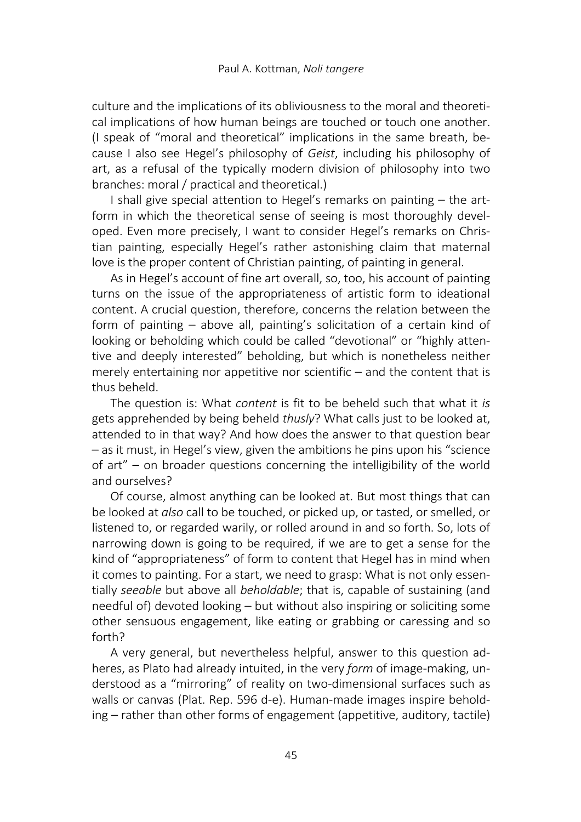culture and the implications of its obliviousness to the moral and theoretical implications of how human beings are touched or touch one another. (I speak of "moral and theoretical" implications in the same breath, because I also see Hegel's philosophy of Geist, including his philosophy of art, as a refusal of the typically modern division of philosophy into two branches: moral / practical and theoretical.)

I shall give special attention to Hegel's remarks on painting – the artform in which the theoretical sense of seeing is most thoroughly developed. Even more precisely, I want to consider Hegel's remarks on Christian painting, especially Hegel's rather astonishing claim that maternal love is the proper content of Christian painting, of painting in general.

As in Hegel's account of fine art overall, so, too, his account of painting turns on the issue of the appropriateness of artistic form to ideational content. A crucial question, therefore, concerns the relation between the form of painting – above all, painting's solicitation of a certain kind of looking or beholding which could be called "devotional" or "highly attentive and deeply interested" beholding, but which is nonetheless neither merely entertaining nor appetitive nor scientific – and the content that is thus beheld.

The question is: What content is fit to be beheld such that what it is gets apprehended by being beheld thusly? What calls just to be looked at, attended to in that way? And how does the answer to that question bear – as it must, in Hegel's view, given the ambitions he pins upon his "science of art" – on broader questions concerning the intelligibility of the world and ourselves?

Of course, almost anything can be looked at. But most things that can be looked at also call to be touched, or picked up, or tasted, or smelled, or listened to, or regarded warily, or rolled around in and so forth. So, lots of narrowing down is going to be required, if we are to get a sense for the kind of "appropriateness" of form to content that Hegel has in mind when it comes to painting. For a start, we need to grasp: What is not only essentially seeable but above all beholdable; that is, capable of sustaining (and needful of) devoted looking – but without also inspiring or soliciting some other sensuous engagement, like eating or grabbing or caressing and so forth?

A very general, but nevertheless helpful, answer to this question adheres, as Plato had already intuited, in the very form of image-making, understood as a "mirroring" of reality on two-dimensional surfaces such as walls or canvas (Plat. Rep. 596 d-e). Human-made images inspire beholding – rather than other forms of engagement (appetitive, auditory, tactile)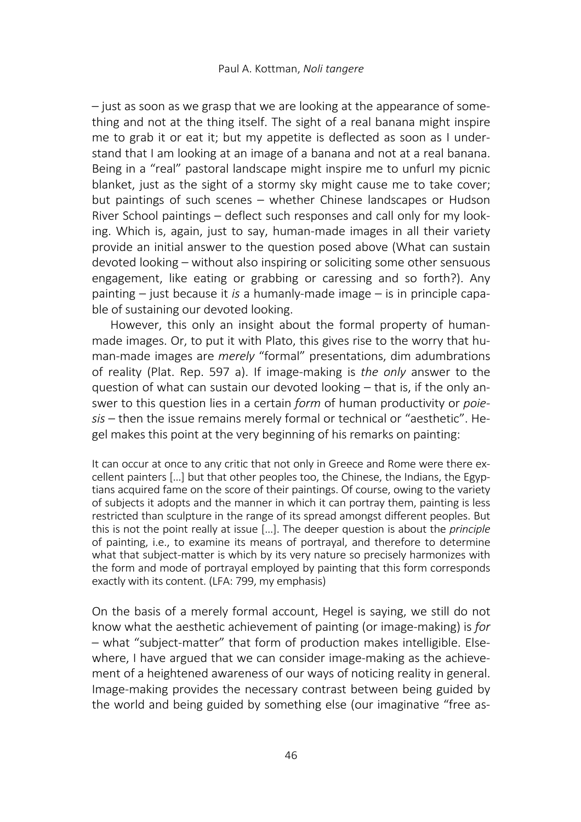– just as soon as we grasp that we are looking at the appearance of something and not at the thing itself. The sight of a real banana might inspire me to grab it or eat it; but my appetite is deflected as soon as I understand that I am looking at an image of a banana and not at a real banana. Being in a "real" pastoral landscape might inspire me to unfurl my picnic blanket, just as the sight of a stormy sky might cause me to take cover; but paintings of such scenes – whether Chinese landscapes or Hudson River School paintings – deflect such responses and call only for my looking. Which is, again, just to say, human-made images in all their variety provide an initial answer to the question posed above (What can sustain devoted looking – without also inspiring or soliciting some other sensuous engagement, like eating or grabbing or caressing and so forth?). Any painting  $-$  just because it is a humanly-made image  $-$  is in principle capable of sustaining our devoted looking.

However, this only an insight about the formal property of humanmade images. Or, to put it with Plato, this gives rise to the worry that human-made images are merely "formal" presentations, dim adumbrations of reality (Plat. Rep. 597 a). If image-making is the only answer to the question of what can sustain our devoted looking – that is, if the only answer to this question lies in a certain form of human productivity or poiesis – then the issue remains merely formal or technical or "aesthetic". Hegel makes this point at the very beginning of his remarks on painting:

It can occur at once to any critic that not only in Greece and Rome were there excellent painters […] but that other peoples too, the Chinese, the Indians, the Egyptians acquired fame on the score of their paintings. Of course, owing to the variety of subjects it adopts and the manner in which it can portray them, painting is less restricted than sculpture in the range of its spread amongst different peoples. But this is not the point really at issue [...]. The deeper question is about the *principle* of painting, i.e., to examine its means of portrayal, and therefore to determine what that subject-matter is which by its very nature so precisely harmonizes with the form and mode of portrayal employed by painting that this form corresponds exactly with its content. (LFA: 799, my emphasis)

On the basis of a merely formal account, Hegel is saying, we still do not know what the aesthetic achievement of painting (or image-making) is for – what "subject-matter" that form of production makes intelligible. Elsewhere, I have argued that we can consider image-making as the achievement of a heightened awareness of our ways of noticing reality in general. Image-making provides the necessary contrast between being guided by the world and being guided by something else (our imaginative "free as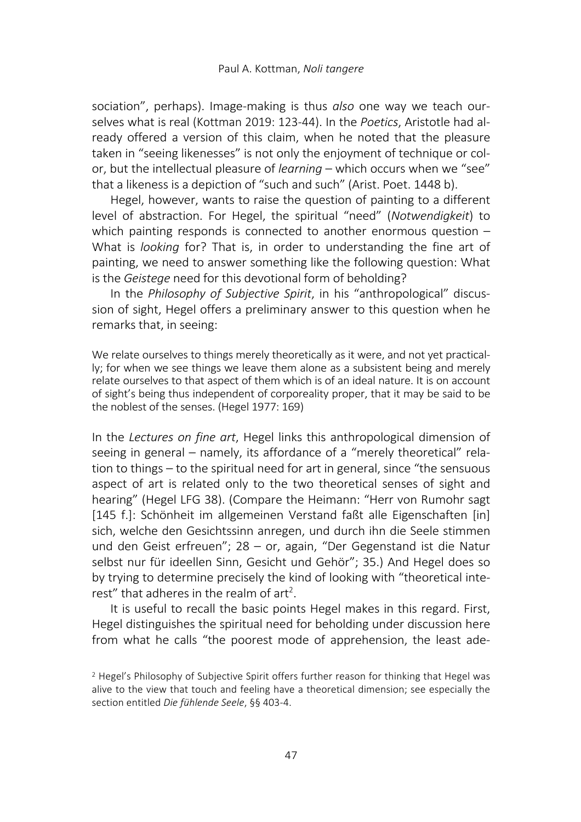sociation", perhaps). Image-making is thus *also* one way we teach ourselves what is real (Kottman 2019: 123-44). In the Poetics, Aristotle had already offered a version of this claim, when he noted that the pleasure taken in "seeing likenesses" is not only the enjoyment of technique or color, but the intellectual pleasure of *learning* – which occurs when we "see" that a likeness is a depiction of "such and such" (Arist. Poet. 1448 b).

Hegel, however, wants to raise the question of painting to a different level of abstraction. For Hegel, the spiritual "need" (Notwendigkeit) to which painting responds is connected to another enormous question  $-$ What is looking for? That is, in order to understanding the fine art of painting, we need to answer something like the following question: What is the Geistege need for this devotional form of beholding?

In the Philosophy of Subjective Spirit, in his "anthropological" discussion of sight, Hegel offers a preliminary answer to this question when he remarks that, in seeing:

We relate ourselves to things merely theoretically as it were, and not yet practically; for when we see things we leave them alone as a subsistent being and merely relate ourselves to that aspect of them which is of an ideal nature. It is on account of sight's being thus independent of corporeality proper, that it may be said to be the noblest of the senses. (Hegel 1977: 169)

In the Lectures on fine art, Hegel links this anthropological dimension of seeing in general – namely, its affordance of a "merely theoretical" relation to things – to the spiritual need for art in general, since "the sensuous aspect of art is related only to the two theoretical senses of sight and hearing" (Hegel LFG 38). (Compare the Heimann: "Herr von Rumohr sagt [145 f.]: Schönheit im allgemeinen Verstand faßt alle Eigenschaften [in] sich, welche den Gesichtssinn anregen, und durch ihn die Seele stimmen und den Geist erfreuen"; 28 – or, again, "Der Gegenstand ist die Natur selbst nur für ideellen Sinn, Gesicht und Gehör"; 35.) And Hegel does so by trying to determine precisely the kind of looking with "theoretical interest" that adheres in the realm of art<sup>2</sup>.

It is useful to recall the basic points Hegel makes in this regard. First, Hegel distinguishes the spiritual need for beholding under discussion here from what he calls "the poorest mode of apprehension, the least ade-

<sup>&</sup>lt;sup>2</sup> Hegel's Philosophy of Subjective Spirit offers further reason for thinking that Hegel was alive to the view that touch and feeling have a theoretical dimension; see especially the section entitled Die fühlende Seele, §§ 403-4.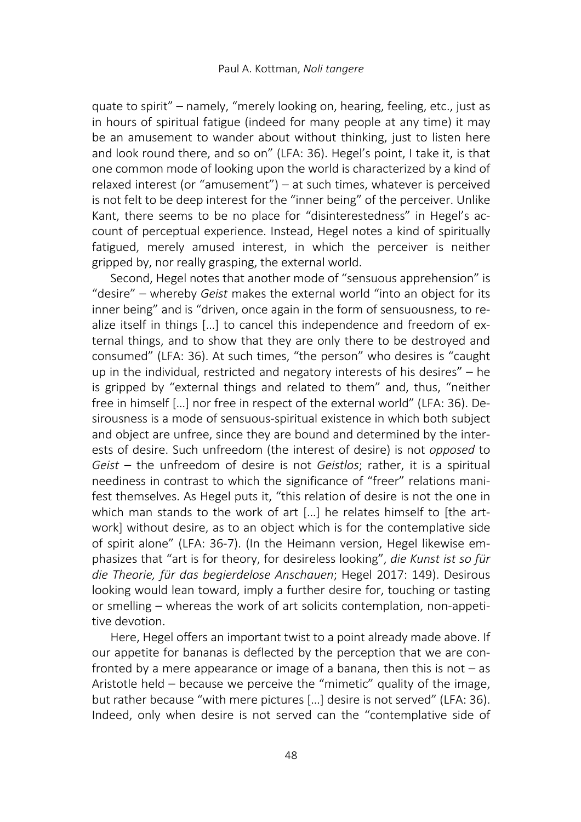quate to spirit" – namely, "merely looking on, hearing, feeling, etc., just as in hours of spiritual fatigue (indeed for many people at any time) it may be an amusement to wander about without thinking, just to listen here and look round there, and so on" (LFA: 36). Hegel's point, I take it, is that one common mode of looking upon the world is characterized by a kind of relaxed interest (or "amusement") – at such times, whatever is perceived is not felt to be deep interest for the "inner being" of the perceiver. Unlike Kant, there seems to be no place for "disinterestedness" in Hegel's account of perceptual experience. Instead, Hegel notes a kind of spiritually fatigued, merely amused interest, in which the perceiver is neither gripped by, nor really grasping, the external world.

Second, Hegel notes that another mode of "sensuous apprehension" is "desire" – whereby Geist makes the external world "into an object for its inner being" and is "driven, once again in the form of sensuousness, to realize itself in things […] to cancel this independence and freedom of external things, and to show that they are only there to be destroyed and consumed" (LFA: 36). At such times, "the person" who desires is "caught up in the individual, restricted and negatory interests of his desires" – he is gripped by "external things and related to them" and, thus, "neither free in himself […] nor free in respect of the external world" (LFA: 36). Desirousness is a mode of sensuous-spiritual existence in which both subject and object are unfree, since they are bound and determined by the interests of desire. Such unfreedom (the interest of desire) is not opposed to Geist – the unfreedom of desire is not Geistlos; rather, it is a spiritual neediness in contrast to which the significance of "freer" relations manifest themselves. As Hegel puts it, "this relation of desire is not the one in which man stands to the work of art [...] he relates himself to [the artwork] without desire, as to an object which is for the contemplative side of spirit alone" (LFA: 36-7). (In the Heimann version, Hegel likewise emphasizes that "art is for theory, for desireless looking", die Kunst ist so für die Theorie, für das begierdelose Anschauen; Hegel 2017: 149). Desirous looking would lean toward, imply a further desire for, touching or tasting or smelling – whereas the work of art solicits contemplation, non-appetitive devotion.

Here, Hegel offers an important twist to a point already made above. If our appetite for bananas is deflected by the perception that we are confronted by a mere appearance or image of a banana, then this is not  $-$  as Aristotle held – because we perceive the "mimetic" quality of the image, but rather because "with mere pictures […] desire is not served" (LFA: 36). Indeed, only when desire is not served can the "contemplative side of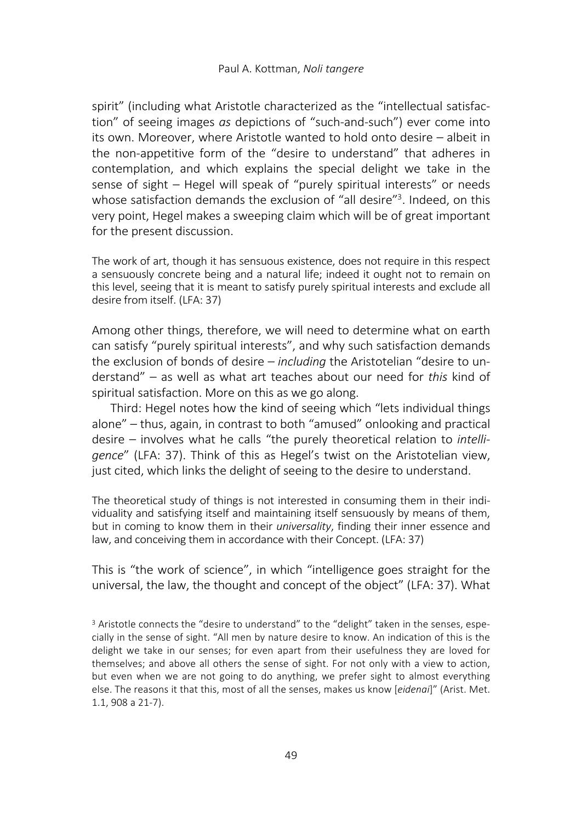spirit" (including what Aristotle characterized as the "intellectual satisfaction" of seeing images as depictions of "such-and-such") ever come into its own. Moreover, where Aristotle wanted to hold onto desire – albeit in the non-appetitive form of the "desire to understand" that adheres in contemplation, and which explains the special delight we take in the sense of sight – Hegel will speak of "purely spiritual interests" or needs whose satisfaction demands the exclusion of "all desire"<sup>3</sup>. Indeed, on this very point, Hegel makes a sweeping claim which will be of great important for the present discussion.

The work of art, though it has sensuous existence, does not require in this respect a sensuously concrete being and a natural life; indeed it ought not to remain on this level, seeing that it is meant to satisfy purely spiritual interests and exclude all desire from itself. (LFA: 37)

Among other things, therefore, we will need to determine what on earth can satisfy "purely spiritual interests", and why such satisfaction demands the exclusion of bonds of desire – *including* the Aristotelian "desire to understand" – as well as what art teaches about our need for this kind of spiritual satisfaction. More on this as we go along.

Third: Hegel notes how the kind of seeing which "lets individual things alone" – thus, again, in contrast to both "amused" onlooking and practical desire – involves what he calls "the purely theoretical relation to intelligence" (LFA: 37). Think of this as Hegel's twist on the Aristotelian view, just cited, which links the delight of seeing to the desire to understand.

The theoretical study of things is not interested in consuming them in their individuality and satisfying itself and maintaining itself sensuously by means of them, but in coming to know them in their *universality*, finding their inner essence and law, and conceiving them in accordance with their Concept. (LFA: 37)

This is "the work of science", in which "intelligence goes straight for the universal, the law, the thought and concept of the object" (LFA: 37). What

 $3$  Aristotle connects the "desire to understand" to the "delight" taken in the senses, especially in the sense of sight. "All men by nature desire to know. An indication of this is the delight we take in our senses; for even apart from their usefulness they are loved for themselves; and above all others the sense of sight. For not only with a view to action, but even when we are not going to do anything, we prefer sight to almost everything else. The reasons it that this, most of all the senses, makes us know [eidenai]" (Arist. Met. 1.1, 908 a 21-7).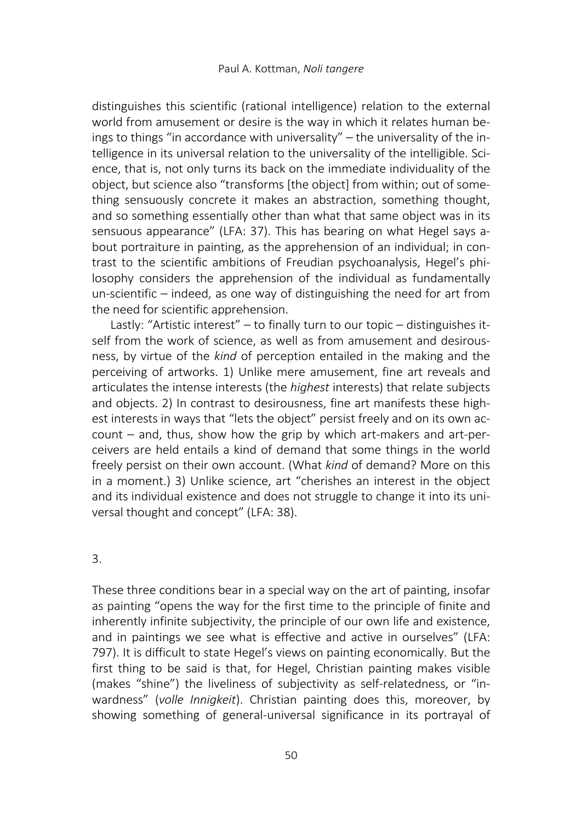distinguishes this scientific (rational intelligence) relation to the external world from amusement or desire is the way in which it relates human beings to things "in accordance with universality" – the universality of the intelligence in its universal relation to the universality of the intelligible. Science, that is, not only turns its back on the immediate individuality of the object, but science also "transforms [the object] from within; out of something sensuously concrete it makes an abstraction, something thought, and so something essentially other than what that same object was in its sensuous appearance" (LFA: 37). This has bearing on what Hegel says about portraiture in painting, as the apprehension of an individual; in contrast to the scientific ambitions of Freudian psychoanalysis, Hegel's philosophy considers the apprehension of the individual as fundamentally un-scientific – indeed, as one way of distinguishing the need for art from the need for scientific apprehension.

Lastly: "Artistic interest" – to finally turn to our topic – distinguishes itself from the work of science, as well as from amusement and desirousness, by virtue of the kind of perception entailed in the making and the perceiving of artworks. 1) Unlike mere amusement, fine art reveals and articulates the intense interests (the highest interests) that relate subjects and objects. 2) In contrast to desirousness, fine art manifests these highest interests in ways that "lets the object" persist freely and on its own account – and, thus, show how the grip by which art-makers and art-perceivers are held entails a kind of demand that some things in the world freely persist on their own account. (What kind of demand? More on this in a moment.) 3) Unlike science, art "cherishes an interest in the object and its individual existence and does not struggle to change it into its universal thought and concept" (LFA: 38).

### 3.

These three conditions bear in a special way on the art of painting, insofar as painting "opens the way for the first time to the principle of finite and inherently infinite subjectivity, the principle of our own life and existence, and in paintings we see what is effective and active in ourselves" (LFA: 797). It is difficult to state Hegel's views on painting economically. But the first thing to be said is that, for Hegel, Christian painting makes visible (makes "shine") the liveliness of subjectivity as self-relatedness, or "inwardness" (volle Innigkeit). Christian painting does this, moreover, by showing something of general-universal significance in its portrayal of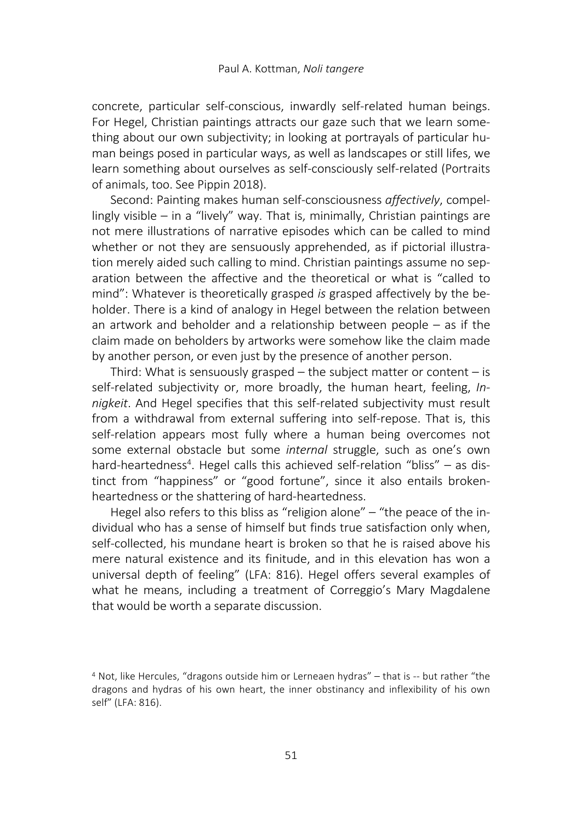concrete, particular self-conscious, inwardly self-related human beings. For Hegel, Christian paintings attracts our gaze such that we learn something about our own subjectivity; in looking at portrayals of particular human beings posed in particular ways, as well as landscapes or still lifes, we learn something about ourselves as self-consciously self-related (Portraits of animals, too. See Pippin 2018).

Second: Painting makes human self-consciousness affectively, compellingly visible – in a "lively" way. That is, minimally, Christian paintings are not mere illustrations of narrative episodes which can be called to mind whether or not they are sensuously apprehended, as if pictorial illustration merely aided such calling to mind. Christian paintings assume no separation between the affective and the theoretical or what is "called to mind": Whatever is theoretically grasped is grasped affectively by the beholder. There is a kind of analogy in Hegel between the relation between an artwork and beholder and a relationship between people – as if the claim made on beholders by artworks were somehow like the claim made by another person, or even just by the presence of another person.

Third: What is sensuously grasped  $-$  the subject matter or content  $-$  is self-related subjectivity or, more broadly, the human heart, feeling, Innigkeit. And Hegel specifies that this self-related subjectivity must result from a withdrawal from external suffering into self-repose. That is, this self-relation appears most fully where a human being overcomes not some external obstacle but some internal struggle, such as one's own hard-heartedness<sup>4</sup>. Hegel calls this achieved self-relation "bliss" - as distinct from "happiness" or "good fortune", since it also entails brokenheartedness or the shattering of hard-heartedness.

Hegel also refers to this bliss as "religion alone" – "the peace of the individual who has a sense of himself but finds true satisfaction only when, self-collected, his mundane heart is broken so that he is raised above his mere natural existence and its finitude, and in this elevation has won a universal depth of feeling" (LFA: 816). Hegel offers several examples of what he means, including a treatment of Correggio's Mary Magdalene that would be worth a separate discussion.

<sup>4</sup> Not, like Hercules, "dragons outside him or Lerneaen hydras" – that is -- but rather "the dragons and hydras of his own heart, the inner obstinancy and inflexibility of his own self" (LFA: 816).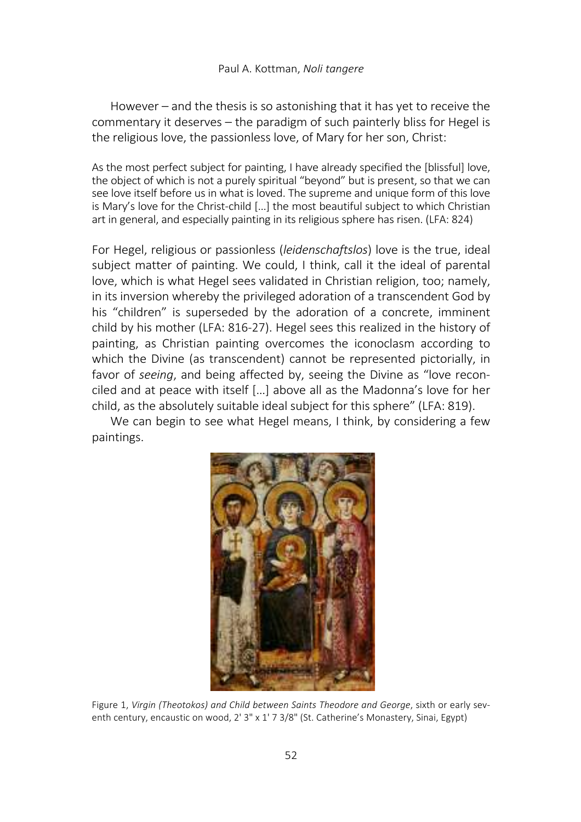However – and the thesis is so astonishing that it has yet to receive the commentary it deserves – the paradigm of such painterly bliss for Hegel is the religious love, the passionless love, of Mary for her son, Christ:

As the most perfect subject for painting, I have already specified the [blissful] love, the object of which is not a purely spiritual "beyond" but is present, so that we can see love itself before us in what is loved. The supreme and unique form of this love is Mary's love for the Christ-child […] the most beautiful subject to which Christian art in general, and especially painting in its religious sphere has risen. (LFA: 824)

For Hegel, religious or passionless (leidenschaftslos) love is the true, ideal subject matter of painting. We could, I think, call it the ideal of parental love, which is what Hegel sees validated in Christian religion, too; namely, in its inversion whereby the privileged adoration of a transcendent God by his "children" is superseded by the adoration of a concrete, imminent child by his mother (LFA: 816-27). Hegel sees this realized in the history of painting, as Christian painting overcomes the iconoclasm according to which the Divine (as transcendent) cannot be represented pictorially, in favor of seeing, and being affected by, seeing the Divine as "love reconciled and at peace with itself […] above all as the Madonna's love for her child, as the absolutely suitable ideal subject for this sphere" (LFA: 819).

We can begin to see what Hegel means, I think, by considering a few paintings.



Figure 1, Virgin (Theotokos) and Child between Saints Theodore and George, sixth or early seventh century, encaustic on wood, 2' 3" x 1' 7 3/8" (St. Catherine's Monastery, Sinai, Egypt)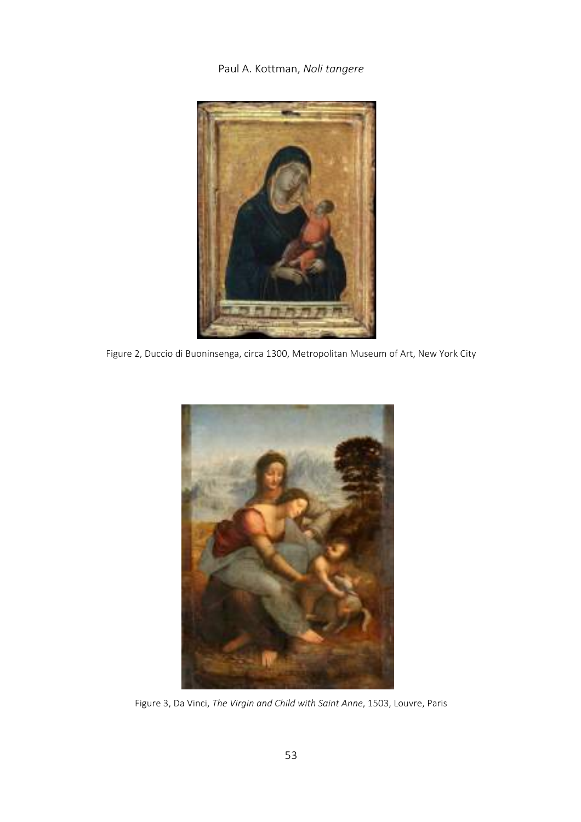

Figure 2, Duccio di Buoninsenga, circa 1300, Metropolitan Museum of Art, New York City



Figure 3, Da Vinci, The Virgin and Child with Saint Anne, 1503, Louvre, Paris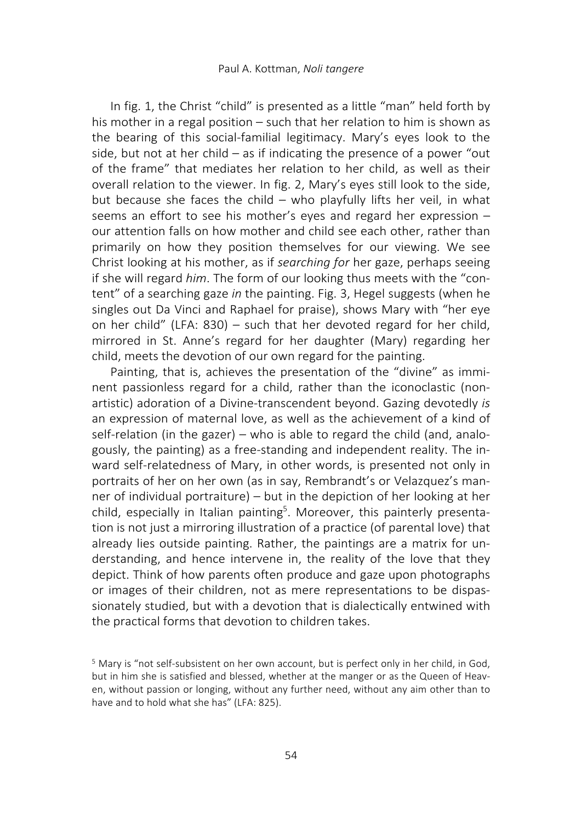In fig. 1, the Christ "child" is presented as a little "man" held forth by his mother in a regal position – such that her relation to him is shown as the bearing of this social-familial legitimacy. Mary's eyes look to the side, but not at her child – as if indicating the presence of a power "out of the frame" that mediates her relation to her child, as well as their overall relation to the viewer. In fig. 2, Mary's eyes still look to the side, but because she faces the child – who playfully lifts her veil, in what seems an effort to see his mother's eyes and regard her expression – our attention falls on how mother and child see each other, rather than primarily on how they position themselves for our viewing. We see Christ looking at his mother, as if searching for her gaze, perhaps seeing if she will regard him. The form of our looking thus meets with the "content" of a searching gaze in the painting. Fig. 3, Hegel suggests (when he singles out Da Vinci and Raphael for praise), shows Mary with "her eye on her child" (LFA: 830) – such that her devoted regard for her child, mirrored in St. Anne's regard for her daughter (Mary) regarding her child, meets the devotion of our own regard for the painting.

Painting, that is, achieves the presentation of the "divine" as imminent passionless regard for a child, rather than the iconoclastic (nonartistic) adoration of a Divine-transcendent beyond. Gazing devotedly is an expression of maternal love, as well as the achievement of a kind of self-relation (in the gazer) – who is able to regard the child (and, analogously, the painting) as a free-standing and independent reality. The inward self-relatedness of Mary, in other words, is presented not only in portraits of her on her own (as in say, Rembrandt's or Velazquez's manner of individual portraiture) – but in the depiction of her looking at her child, especially in Italian painting<sup>5</sup>. Moreover, this painterly presentation is not just a mirroring illustration of a practice (of parental love) that already lies outside painting. Rather, the paintings are a matrix for understanding, and hence intervene in, the reality of the love that they depict. Think of how parents often produce and gaze upon photographs or images of their children, not as mere representations to be dispassionately studied, but with a devotion that is dialectically entwined with the practical forms that devotion to children takes.

<sup>5</sup> Mary is "not self-subsistent on her own account, but is perfect only in her child, in God, but in him she is satisfied and blessed, whether at the manger or as the Queen of Heaven, without passion or longing, without any further need, without any aim other than to have and to hold what she has" (LFA: 825).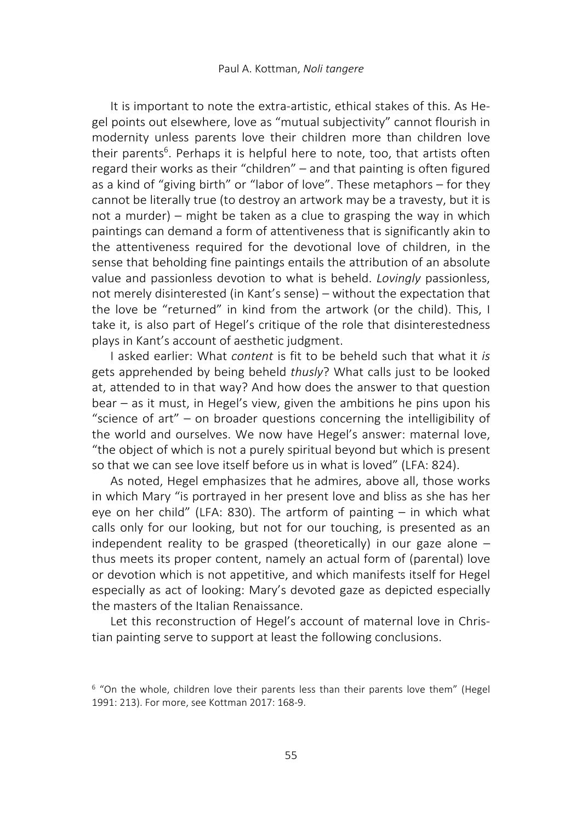It is important to note the extra-artistic, ethical stakes of this. As Hegel points out elsewhere, love as "mutual subjectivity" cannot flourish in modernity unless parents love their children more than children love their parents<sup>6</sup>. Perhaps it is helpful here to note, too, that artists often regard their works as their "children" – and that painting is often figured as a kind of "giving birth" or "labor of love". These metaphors – for they cannot be literally true (to destroy an artwork may be a travesty, but it is not a murder) – might be taken as a clue to grasping the way in which paintings can demand a form of attentiveness that is significantly akin to the attentiveness required for the devotional love of children, in the sense that beholding fine paintings entails the attribution of an absolute value and passionless devotion to what is beheld. Lovingly passionless, not merely disinterested (in Kant's sense) – without the expectation that the love be "returned" in kind from the artwork (or the child). This, I take it, is also part of Hegel's critique of the role that disinterestedness plays in Kant's account of aesthetic judgment.

I asked earlier: What content is fit to be beheld such that what it is gets apprehended by being beheld thusly? What calls just to be looked at, attended to in that way? And how does the answer to that question bear – as it must, in Hegel's view, given the ambitions he pins upon his "science of art" – on broader questions concerning the intelligibility of the world and ourselves. We now have Hegel's answer: maternal love, "the object of which is not a purely spiritual beyond but which is present so that we can see love itself before us in what is loved" (LFA: 824).

As noted, Hegel emphasizes that he admires, above all, those works in which Mary "is portrayed in her present love and bliss as she has her eye on her child" (LFA: 830). The artform of painting – in which what calls only for our looking, but not for our touching, is presented as an independent reality to be grasped (theoretically) in our gaze alone  $$ thus meets its proper content, namely an actual form of (parental) love or devotion which is not appetitive, and which manifests itself for Hegel especially as act of looking: Mary's devoted gaze as depicted especially the masters of the Italian Renaissance.

Let this reconstruction of Hegel's account of maternal love in Christian painting serve to support at least the following conclusions.

<sup>6</sup> "On the whole, children love their parents less than their parents love them" (Hegel 1991: 213). For more, see Kottman 2017: 168-9.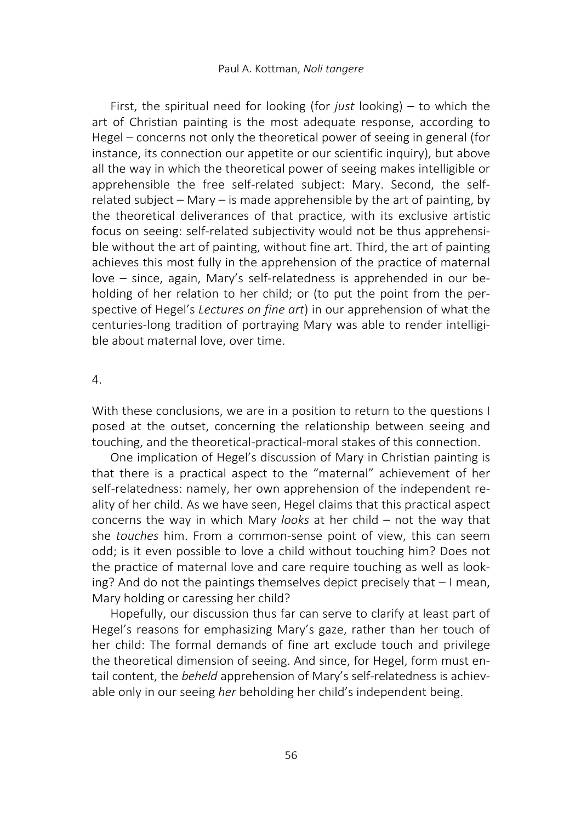First, the spiritual need for looking (for *just* looking) – to which the art of Christian painting is the most adequate response, according to Hegel – concerns not only the theoretical power of seeing in general (for instance, its connection our appetite or our scientific inquiry), but above all the way in which the theoretical power of seeing makes intelligible or apprehensible the free self-related subject: Mary. Second, the selfrelated subject – Mary – is made apprehensible by the art of painting, by the theoretical deliverances of that practice, with its exclusive artistic focus on seeing: self-related subjectivity would not be thus apprehensible without the art of painting, without fine art. Third, the art of painting achieves this most fully in the apprehension of the practice of maternal love – since, again, Mary's self-relatedness is apprehended in our beholding of her relation to her child; or (to put the point from the perspective of Hegel's Lectures on fine art) in our apprehension of what the centuries-long tradition of portraying Mary was able to render intelligible about maternal love, over time.

## 4.

With these conclusions, we are in a position to return to the questions I posed at the outset, concerning the relationship between seeing and touching, and the theoretical-practical-moral stakes of this connection.

One implication of Hegel's discussion of Mary in Christian painting is that there is a practical aspect to the "maternal" achievement of her self-relatedness: namely, her own apprehension of the independent reality of her child. As we have seen, Hegel claims that this practical aspect concerns the way in which Mary *looks* at her child  $-$  not the way that she touches him. From a common-sense point of view, this can seem odd; is it even possible to love a child without touching him? Does not the practice of maternal love and care require touching as well as looking? And do not the paintings themselves depict precisely that – I mean, Mary holding or caressing her child?

Hopefully, our discussion thus far can serve to clarify at least part of Hegel's reasons for emphasizing Mary's gaze, rather than her touch of her child: The formal demands of fine art exclude touch and privilege the theoretical dimension of seeing. And since, for Hegel, form must entail content, the beheld apprehension of Mary's self-relatedness is achievable only in our seeing her beholding her child's independent being.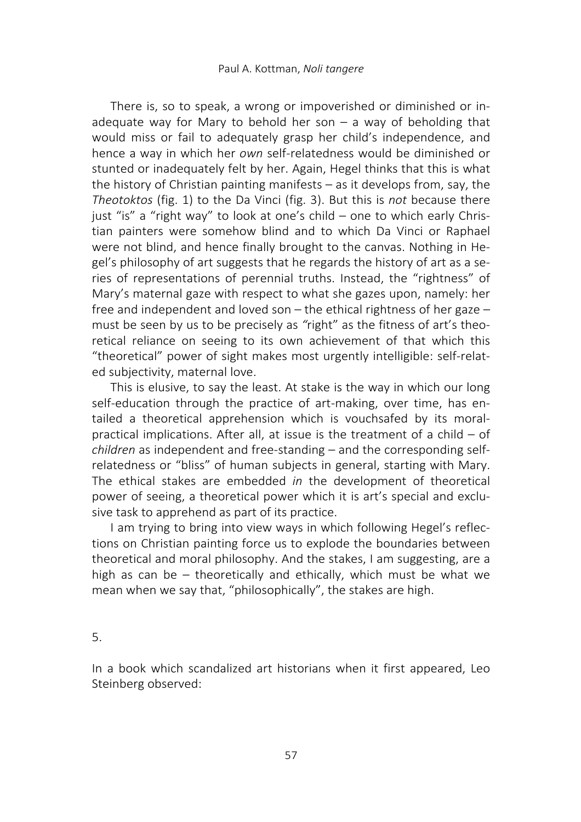There is, so to speak, a wrong or impoverished or diminished or inadequate way for Mary to behold her son  $-$  a way of beholding that would miss or fail to adequately grasp her child's independence, and hence a way in which her own self-relatedness would be diminished or stunted or inadequately felt by her. Again, Hegel thinks that this is what the history of Christian painting manifests – as it develops from, say, the Theotoktos (fig. 1) to the Da Vinci (fig. 3). But this is not because there just "is" a "right way" to look at one's child – one to which early Christian painters were somehow blind and to which Da Vinci or Raphael were not blind, and hence finally brought to the canvas. Nothing in Hegel's philosophy of art suggests that he regards the history of art as a series of representations of perennial truths. Instead, the "rightness" of Mary's maternal gaze with respect to what she gazes upon, namely: her free and independent and loved son – the ethical rightness of her gaze – must be seen by us to be precisely as "right" as the fitness of art's theoretical reliance on seeing to its own achievement of that which this "theoretical" power of sight makes most urgently intelligible: self-related subjectivity, maternal love.

This is elusive, to say the least. At stake is the way in which our long self-education through the practice of art-making, over time, has entailed a theoretical apprehension which is vouchsafed by its moralpractical implications. After all, at issue is the treatment of a child – of children as independent and free-standing – and the corresponding selfrelatedness or "bliss" of human subjects in general, starting with Mary. The ethical stakes are embedded in the development of theoretical power of seeing, a theoretical power which it is art's special and exclusive task to apprehend as part of its practice.

I am trying to bring into view ways in which following Hegel's reflections on Christian painting force us to explode the boundaries between theoretical and moral philosophy. And the stakes, I am suggesting, are a high as can be – theoretically and ethically, which must be what we mean when we say that, "philosophically", the stakes are high.

5.

In a book which scandalized art historians when it first appeared, Leo Steinberg observed: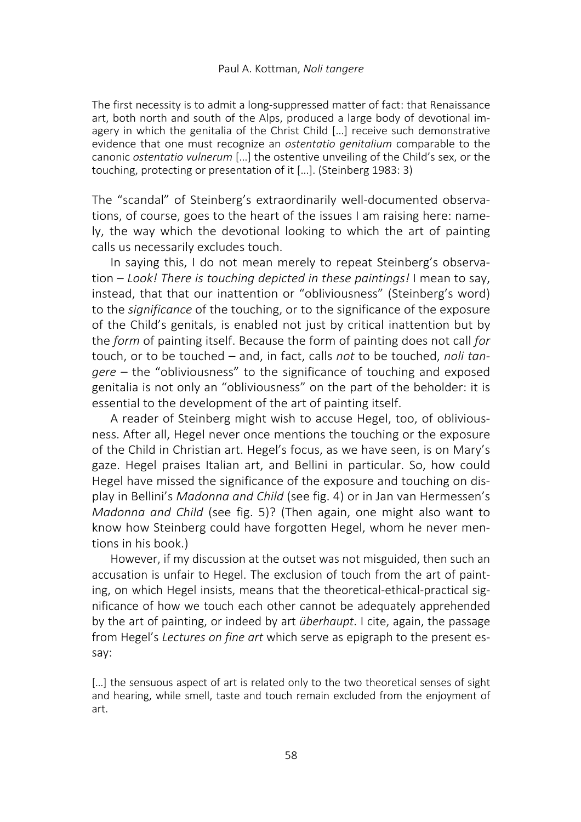The first necessity is to admit a long-suppressed matter of fact: that Renaissance art, both north and south of the Alps, produced a large body of devotional imagery in which the genitalia of the Christ Child […] receive such demonstrative evidence that one must recognize an ostentatio genitalium comparable to the canonic ostentatio vulnerum […] the ostentive unveiling of the Child's sex, or the touching, protecting or presentation of it […]. (Steinberg 1983: 3)

The "scandal" of Steinberg's extraordinarily well-documented observations, of course, goes to the heart of the issues I am raising here: namely, the way which the devotional looking to which the art of painting calls us necessarily excludes touch.

In saying this, I do not mean merely to repeat Steinberg's observation – Look! There is touching depicted in these paintings! I mean to say, instead, that that our inattention or "obliviousness" (Steinberg's word) to the significance of the touching, or to the significance of the exposure of the Child's genitals, is enabled not just by critical inattention but by the form of painting itself. Because the form of painting does not call for touch, or to be touched – and, in fact, calls not to be touched, noli tangere – the "obliviousness" to the significance of touching and exposed genitalia is not only an "obliviousness" on the part of the beholder: it is essential to the development of the art of painting itself.

A reader of Steinberg might wish to accuse Hegel, too, of obliviousness. After all, Hegel never once mentions the touching or the exposure of the Child in Christian art. Hegel's focus, as we have seen, is on Mary's gaze. Hegel praises Italian art, and Bellini in particular. So, how could Hegel have missed the significance of the exposure and touching on display in Bellini's Madonna and Child (see fig. 4) or in Jan van Hermessen's Madonna and Child (see fig. 5)? (Then again, one might also want to know how Steinberg could have forgotten Hegel, whom he never mentions in his book.)

However, if my discussion at the outset was not misguided, then such an accusation is unfair to Hegel. The exclusion of touch from the art of painting, on which Hegel insists, means that the theoretical-ethical-practical significance of how we touch each other cannot be adequately apprehended by the art of painting, or indeed by art überhaupt. I cite, again, the passage from Hegel's Lectures on fine art which serve as epigraph to the present essay:

[...] the sensuous aspect of art is related only to the two theoretical senses of sight and hearing, while smell, taste and touch remain excluded from the enjoyment of art.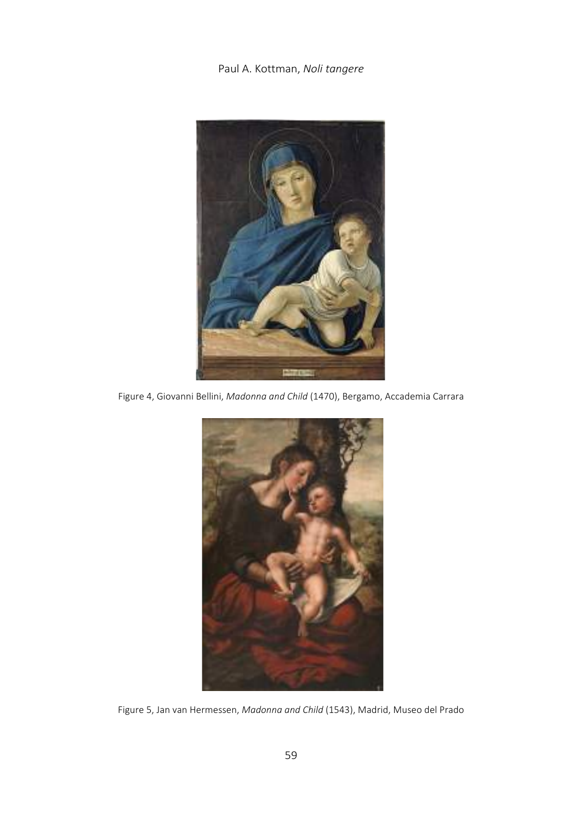

Figure 4, Giovanni Bellini, Madonna and Child (1470), Bergamo, Accademia Carrara



Figure 5, Jan van Hermessen, Madonna and Child (1543), Madrid, Museo del Prado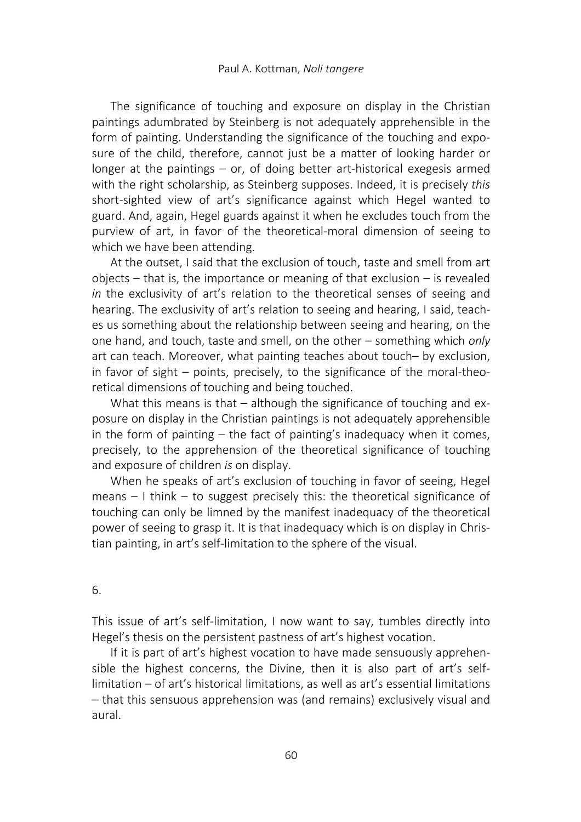The significance of touching and exposure on display in the Christian paintings adumbrated by Steinberg is not adequately apprehensible in the form of painting. Understanding the significance of the touching and exposure of the child, therefore, cannot just be a matter of looking harder or longer at the paintings – or, of doing better art-historical exegesis armed with the right scholarship, as Steinberg supposes. Indeed, it is precisely this short-sighted view of art's significance against which Hegel wanted to guard. And, again, Hegel guards against it when he excludes touch from the purview of art, in favor of the theoretical-moral dimension of seeing to which we have been attending.

At the outset, I said that the exclusion of touch, taste and smell from art objects – that is, the importance or meaning of that exclusion – is revealed in the exclusivity of art's relation to the theoretical senses of seeing and hearing. The exclusivity of art's relation to seeing and hearing, I said, teaches us something about the relationship between seeing and hearing, on the one hand, and touch, taste and smell, on the other – something which only art can teach. Moreover, what painting teaches about touch– by exclusion, in favor of sight – points, precisely, to the significance of the moral-theoretical dimensions of touching and being touched.

What this means is that – although the significance of touching and exposure on display in the Christian paintings is not adequately apprehensible in the form of painting – the fact of painting's inadequacy when it comes, precisely, to the apprehension of the theoretical significance of touching and exposure of children is on display.

When he speaks of art's exclusion of touching in favor of seeing, Hegel means – I think – to suggest precisely this: the theoretical significance of touching can only be limned by the manifest inadequacy of the theoretical power of seeing to grasp it. It is that inadequacy which is on display in Christian painting, in art's self-limitation to the sphere of the visual.

### 6.

This issue of art's self-limitation, I now want to say, tumbles directly into Hegel's thesis on the persistent pastness of art's highest vocation.

If it is part of art's highest vocation to have made sensuously apprehensible the highest concerns, the Divine, then it is also part of art's selflimitation – of art's historical limitations, as well as art's essential limitations – that this sensuous apprehension was (and remains) exclusively visual and aural.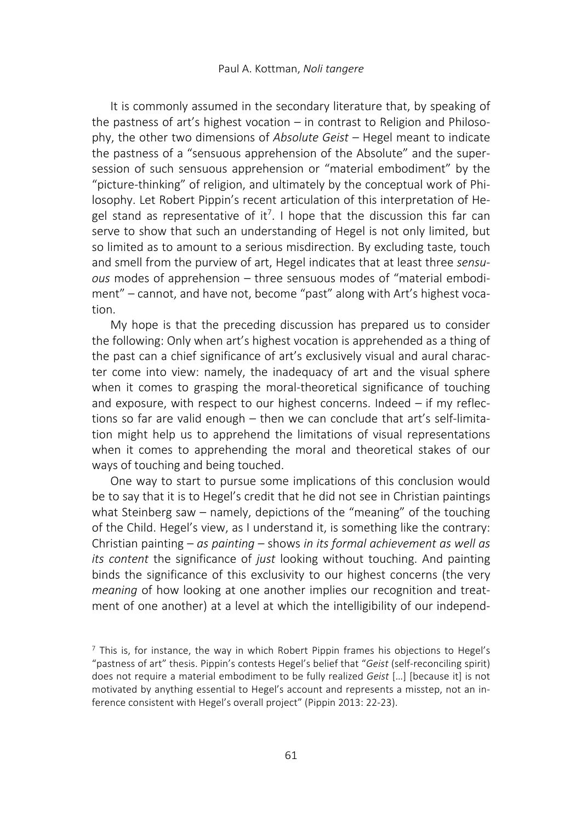It is commonly assumed in the secondary literature that, by speaking of the pastness of art's highest vocation – in contrast to Religion and Philosophy, the other two dimensions of Absolute Geist – Hegel meant to indicate the pastness of a "sensuous apprehension of the Absolute" and the supersession of such sensuous apprehension or "material embodiment" by the "picture-thinking" of religion, and ultimately by the conceptual work of Philosophy. Let Robert Pippin's recent articulation of this interpretation of Hegel stand as representative of it<sup>7</sup>. I hope that the discussion this far can serve to show that such an understanding of Hegel is not only limited, but so limited as to amount to a serious misdirection. By excluding taste, touch and smell from the purview of art, Hegel indicates that at least three sensuous modes of apprehension – three sensuous modes of "material embodiment" – cannot, and have not, become "past" along with Art's highest vocation.

My hope is that the preceding discussion has prepared us to consider the following: Only when art's highest vocation is apprehended as a thing of the past can a chief significance of art's exclusively visual and aural character come into view: namely, the inadequacy of art and the visual sphere when it comes to grasping the moral-theoretical significance of touching and exposure, with respect to our highest concerns. Indeed – if my reflections so far are valid enough – then we can conclude that art's self-limitation might help us to apprehend the limitations of visual representations when it comes to apprehending the moral and theoretical stakes of our ways of touching and being touched.

One way to start to pursue some implications of this conclusion would be to say that it is to Hegel's credit that he did not see in Christian paintings what Steinberg saw – namely, depictions of the "meaning" of the touching of the Child. Hegel's view, as I understand it, is something like the contrary: Christian painting – as painting – shows in its formal achievement as well as its content the significance of just looking without touching. And painting binds the significance of this exclusivity to our highest concerns (the very meaning of how looking at one another implies our recognition and treatment of one another) at a level at which the intelligibility of our independ-

 $<sup>7</sup>$  This is, for instance, the way in which Robert Pippin frames his objections to Hegel's</sup> "pastness of art" thesis. Pippin's contests Hegel's belief that "Geist (self-reconciling spirit) does not require a material embodiment to be fully realized Geist […] [because it] is not motivated by anything essential to Hegel's account and represents a misstep, not an inference consistent with Hegel's overall project" (Pippin 2013: 22-23).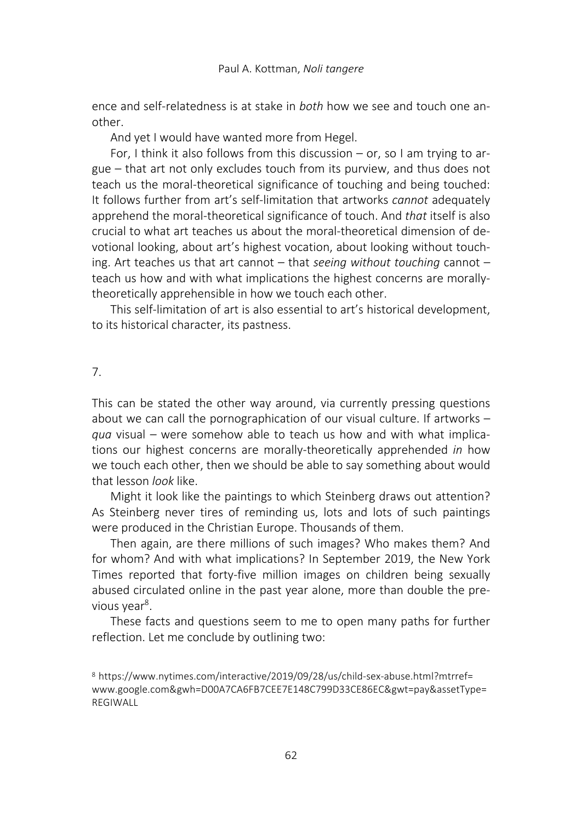ence and self-relatedness is at stake in both how we see and touch one another.

And yet I would have wanted more from Hegel.

For, I think it also follows from this discussion  $-$  or, so I am trying to argue – that art not only excludes touch from its purview, and thus does not teach us the moral-theoretical significance of touching and being touched: It follows further from art's self-limitation that artworks *cannot* adequately apprehend the moral-theoretical significance of touch. And that itself is also crucial to what art teaches us about the moral-theoretical dimension of devotional looking, about art's highest vocation, about looking without touching. Art teaches us that art cannot  $-$  that seeing without touching cannot  $$ teach us how and with what implications the highest concerns are morallytheoretically apprehensible in how we touch each other.

This self-limitation of art is also essential to art's historical development, to its historical character, its pastness.

# 7.

This can be stated the other way around, via currently pressing questions about we can call the pornographication of our visual culture. If artworks – qua visual – were somehow able to teach us how and with what implications our highest concerns are morally-theoretically apprehended in how we touch each other, then we should be able to say something about would that lesson look like.

Might it look like the paintings to which Steinberg draws out attention? As Steinberg never tires of reminding us, lots and lots of such paintings were produced in the Christian Europe. Thousands of them.

Then again, are there millions of such images? Who makes them? And for whom? And with what implications? In September 2019, the New York Times reported that forty-five million images on children being sexually abused circulated online in the past year alone, more than double the previous year<sup>8</sup>.

These facts and questions seem to me to open many paths for further reflection. Let me conclude by outlining two:

<sup>8</sup> https://www.nytimes.com/interactive/2019/09/28/us/child-sex-abuse.html?mtrref= www.google.com&gwh=D00A7CA6FB7CEE7E148C799D33CE86EC&gwt=pay&assetType= **REGIWALL**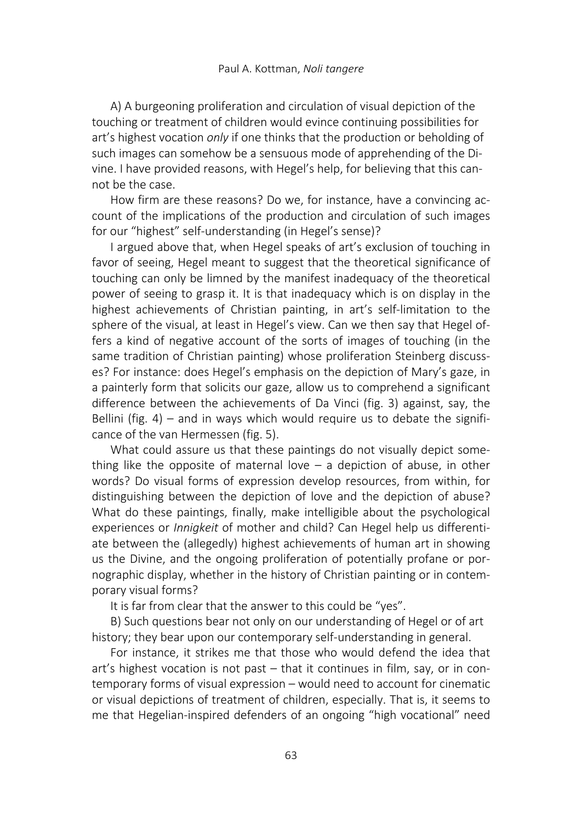A) A burgeoning proliferation and circulation of visual depiction of the touching or treatment of children would evince continuing possibilities for art's highest vocation only if one thinks that the production or beholding of such images can somehow be a sensuous mode of apprehending of the Divine. I have provided reasons, with Hegel's help, for believing that this cannot be the case.

How firm are these reasons? Do we, for instance, have a convincing account of the implications of the production and circulation of such images for our "highest" self-understanding (in Hegel's sense)?

I argued above that, when Hegel speaks of art's exclusion of touching in favor of seeing, Hegel meant to suggest that the theoretical significance of touching can only be limned by the manifest inadequacy of the theoretical power of seeing to grasp it. It is that inadequacy which is on display in the highest achievements of Christian painting, in art's self-limitation to the sphere of the visual, at least in Hegel's view. Can we then say that Hegel offers a kind of negative account of the sorts of images of touching (in the same tradition of Christian painting) whose proliferation Steinberg discusses? For instance: does Hegel's emphasis on the depiction of Mary's gaze, in a painterly form that solicits our gaze, allow us to comprehend a significant difference between the achievements of Da Vinci (fig. 3) against, say, the Bellini (fig. 4) – and in ways which would require us to debate the significance of the van Hermessen (fig. 5).

What could assure us that these paintings do not visually depict something like the opposite of maternal love  $-$  a depiction of abuse, in other words? Do visual forms of expression develop resources, from within, for distinguishing between the depiction of love and the depiction of abuse? What do these paintings, finally, make intelligible about the psychological experiences or Innigkeit of mother and child? Can Hegel help us differentiate between the (allegedly) highest achievements of human art in showing us the Divine, and the ongoing proliferation of potentially profane or pornographic display, whether in the history of Christian painting or in contemporary visual forms?

It is far from clear that the answer to this could be "yes".

B) Such questions bear not only on our understanding of Hegel or of art history; they bear upon our contemporary self-understanding in general.

For instance, it strikes me that those who would defend the idea that art's highest vocation is not past – that it continues in film, say, or in contemporary forms of visual expression – would need to account for cinematic or visual depictions of treatment of children, especially. That is, it seems to me that Hegelian-inspired defenders of an ongoing "high vocational" need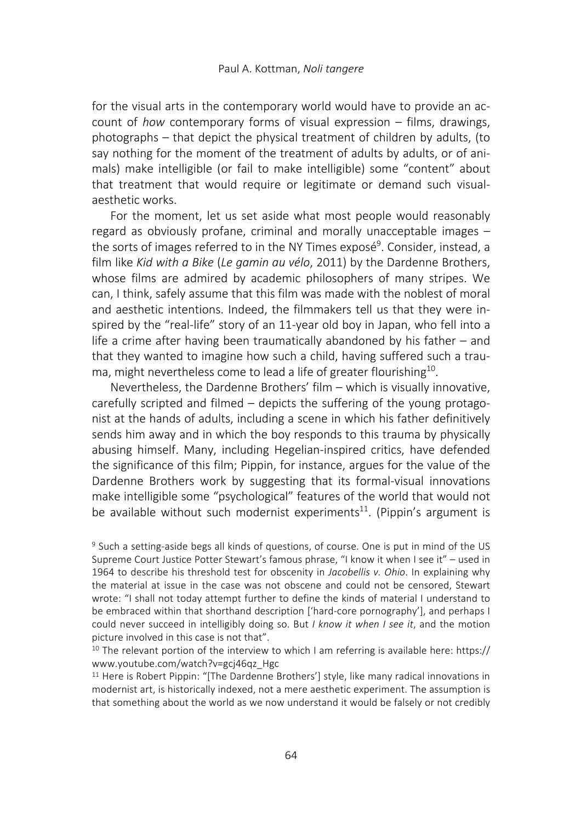for the visual arts in the contemporary world would have to provide an account of how contemporary forms of visual expression – films, drawings, photographs – that depict the physical treatment of children by adults, (to say nothing for the moment of the treatment of adults by adults, or of animals) make intelligible (or fail to make intelligible) some "content" about that treatment that would require or legitimate or demand such visualaesthetic works.

For the moment, let us set aside what most people would reasonably regard as obviously profane, criminal and morally unacceptable images – the sorts of images referred to in the NY Times exposé<sup>9</sup>. Consider, instead, a film like Kid with a Bike (Le gamin au vélo, 2011) by the Dardenne Brothers, whose films are admired by academic philosophers of many stripes. We can, I think, safely assume that this film was made with the noblest of moral and aesthetic intentions. Indeed, the filmmakers tell us that they were inspired by the "real-life" story of an 11-year old boy in Japan, who fell into a life a crime after having been traumatically abandoned by his father – and that they wanted to imagine how such a child, having suffered such a trauma, might nevertheless come to lead a life of greater flourishing<sup>10</sup>.

Nevertheless, the Dardenne Brothers' film – which is visually innovative, carefully scripted and filmed – depicts the suffering of the young protagonist at the hands of adults, including a scene in which his father definitively sends him away and in which the boy responds to this trauma by physically abusing himself. Many, including Hegelian-inspired critics, have defended the significance of this film; Pippin, for instance, argues for the value of the Dardenne Brothers work by suggesting that its formal-visual innovations make intelligible some "psychological" features of the world that would not be available without such modernist experiments<sup>11</sup>. (Pippin's argument is

<sup>9</sup> Such a setting-aside begs all kinds of questions, of course. One is put in mind of the US Supreme Court Justice Potter Stewart's famous phrase, "I know it when I see it" – used in 1964 to describe his threshold test for obscenity in Jacobellis v. Ohio. In explaining why the material at issue in the case was not obscene and could not be censored, Stewart wrote: "I shall not today attempt further to define the kinds of material I understand to be embraced within that shorthand description ['hard-core pornography'], and perhaps I could never succeed in intelligibly doing so. But  $I$  know it when  $I$  see it, and the motion picture involved in this case is not that".

<sup>10</sup> The relevant portion of the interview to which I am referring is available here: https:// www.youtube.com/watch?v=gcj46qz\_Hgc

<sup>11</sup> Here is Robert Pippin: "[The Dardenne Brothers'] style, like many radical innovations in modernist art, is historically indexed, not a mere aesthetic experiment. The assumption is that something about the world as we now understand it would be falsely or not credibly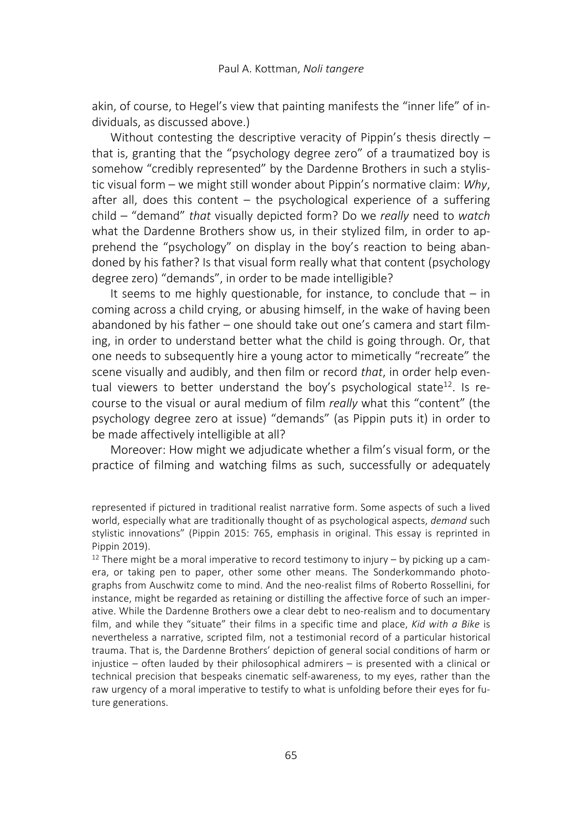akin, of course, to Hegel's view that painting manifests the "inner life" of individuals, as discussed above.)

Without contesting the descriptive veracity of Pippin's thesis directly – that is, granting that the "psychology degree zero" of a traumatized boy is somehow "credibly represented" by the Dardenne Brothers in such a stylistic visual form – we might still wonder about Pippin's normative claim: Why, after all, does this content  $-$  the psychological experience of a suffering child – "demand" that visually depicted form? Do we really need to watch what the Dardenne Brothers show us, in their stylized film, in order to apprehend the "psychology" on display in the boy's reaction to being abandoned by his father? Is that visual form really what that content (psychology degree zero) "demands", in order to be made intelligible?

It seems to me highly questionable, for instance, to conclude that  $-$  in coming across a child crying, or abusing himself, in the wake of having been abandoned by his father – one should take out one's camera and start filming, in order to understand better what the child is going through. Or, that one needs to subsequently hire a young actor to mimetically "recreate" the scene visually and audibly, and then film or record that, in order help eventual viewers to better understand the boy's psychological state<sup>12</sup>. Is recourse to the visual or aural medium of film really what this "content" (the psychology degree zero at issue) "demands" (as Pippin puts it) in order to be made affectively intelligible at all?

Moreover: How might we adjudicate whether a film's visual form, or the practice of filming and watching films as such, successfully or adequately

represented if pictured in traditional realist narrative form. Some aspects of such a lived world, especially what are traditionally thought of as psychological aspects, *demand* such stylistic innovations" (Pippin 2015: 765, emphasis in original. This essay is reprinted in Pippin 2019).

 $12$  There might be a moral imperative to record testimony to injury – by picking up a camera, or taking pen to paper, other some other means. The Sonderkommando photographs from Auschwitz come to mind. And the neo-realist films of Roberto Rossellini, for instance, might be regarded as retaining or distilling the affective force of such an imperative. While the Dardenne Brothers owe a clear debt to neo-realism and to documentary film, and while they "situate" their films in a specific time and place, Kid with a Bike is nevertheless a narrative, scripted film, not a testimonial record of a particular historical trauma. That is, the Dardenne Brothers' depiction of general social conditions of harm or injustice – often lauded by their philosophical admirers – is presented with a clinical or technical precision that bespeaks cinematic self-awareness, to my eyes, rather than the raw urgency of a moral imperative to testify to what is unfolding before their eyes for future generations.